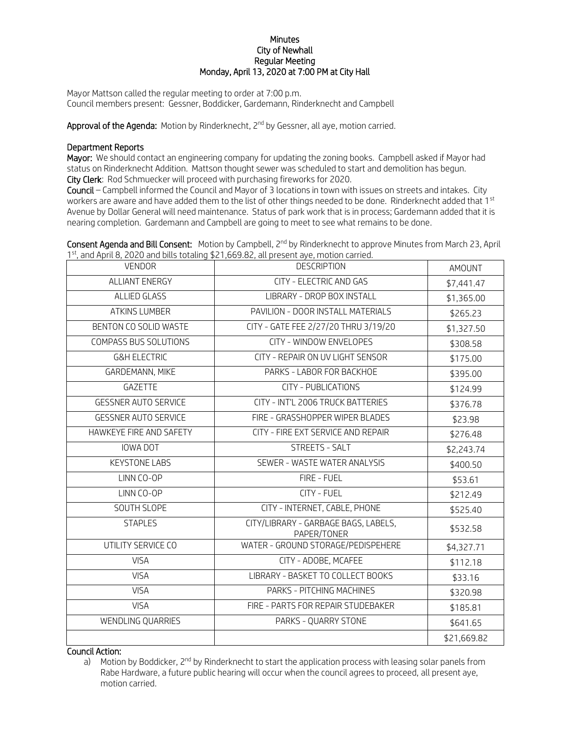## **Minutes** City of Newhall Regular Meeting Monday, April 13, 2020 at 7:00 PM at City Hall

Mayor Mattson called the regular meeting to order at 7:00 p.m. Council members present: Gessner, Boddicker, Gardemann, Rinderknecht and Campbell

**Approval of the Agenda:** Motion by Rinderknecht, 2<sup>nd</sup> by Gessner, all aye, motion carried.

## Department Reports

Mayor: We should contact an engineering company for updating the zoning books. Campbell asked if Mayor had status on Rinderknecht Addition. Mattson thought sewer was scheduled to start and demolition has begun. City Clerk: Rod Schmuecker will proceed with purchasing fireworks for 2020.

Council – Campbell informed the Council and Mayor of 3 locations in town with issues on streets and intakes. City workers are aware and have added them to the list of other things needed to be done. Rinderknecht added that 1st Avenue by Dollar General will need maintenance. Status of park work that is in process; Gardemann added that it is nearing completion. Gardemann and Campbell are going to meet to see what remains to be done.

Consent Agenda and Bill Consent: Motion by Campbell, 2<sup>nd</sup> by Rinderknecht to approve Minutes from March 23, April 1<sup>st</sup>, and April 8, 2020 and bills totaling \$21,669.82, all present aye, motion carried.

| <b>VENDOR</b>                | <b>DESCRIPTION</b>                                  | AMOUNT      |
|------------------------------|-----------------------------------------------------|-------------|
| <b>ALLIANT ENERGY</b>        | CITY - ELECTRIC AND GAS                             | \$7,441.47  |
| <b>ALLIED GLASS</b>          | LIBRARY - DROP BOX INSTALL                          | \$1,365.00  |
| <b>ATKINS LUMBER</b>         | PAVILION - DOOR INSTALL MATERIALS                   | \$265.23    |
| BENTON CO SOLID WASTE        | CITY - GATE FEE 2/27/20 THRU 3/19/20                | \$1,327.50  |
| <b>COMPASS BUS SOLUTIONS</b> | CITY - WINDOW ENVELOPES                             | \$308.58    |
| <b>G&amp;H ELECTRIC</b>      | CITY - REPAIR ON UV LIGHT SENSOR                    | \$175.00    |
| GARDEMANN, MIKE              | PARKS - LABOR FOR BACKHOE                           | \$395.00    |
| GAZETTE                      | <b>CITY - PUBLICATIONS</b>                          | \$124.99    |
| <b>GESSNER AUTO SERVICE</b>  | CITY - INT'L 2006 TRUCK BATTERIES                   | \$376.78    |
| <b>GESSNER AUTO SERVICE</b>  | FIRE - GRASSHOPPER WIPER BLADES                     | \$23.98     |
| HAWKEYE FIRE AND SAFETY      | CITY - FIRE EXT SERVICE AND REPAIR                  | \$276.48    |
| IOWA DOT                     | STREETS - SALT                                      | \$2,243.74  |
| <b>KEYSTONE LABS</b>         | SEWER - WASTE WATER ANALYSIS                        | \$400.50    |
| LINN CO-OP                   | FIRE - FUEL                                         | \$53.61     |
| LINN CO-OP                   | CITY - FUEL                                         | \$212.49    |
| SOUTH SLOPE                  | CITY - INTERNET, CABLE, PHONE                       | \$525.40    |
| <b>STAPLES</b>               | CITY/LIBRARY - GARBAGE BAGS, LABELS,<br>PAPER/TONER | \$532.58    |
| UTILITY SERVICE CO           | WATER - GROUND STORAGE/PEDISPEHERE                  | \$4,327.71  |
| <b>VISA</b>                  | CITY - ADOBE, MCAFEE                                | \$112.18    |
| <b>VISA</b>                  | LIBRARY - BASKET TO COLLECT BOOKS                   | \$33.16     |
| <b>VISA</b>                  | PARKS - PITCHING MACHINES                           | \$320.98    |
| <b>VISA</b>                  | FIRE - PARTS FOR REPAIR STUDEBAKER                  | \$185.81    |
| WENDLING QUARRIES            | PARKS - QUARRY STONE                                | \$641.65    |
|                              |                                                     | \$21,669.82 |

Council Action:

a) Motion by Boddicker,  $2^{nd}$  by Rinderknecht to start the application process with leasing solar panels from Rabe Hardware, a future public hearing will occur when the council agrees to proceed, all present aye, motion carried.